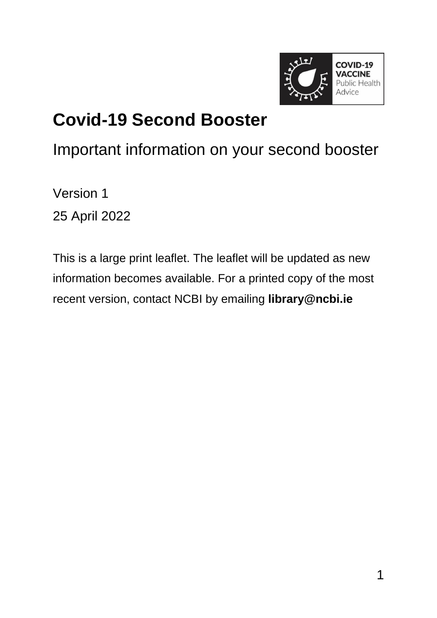

### **Covid-19 Second Booster**

#### Important information on your second booster

Version 1 25 April 2022

This is a large print leaflet. The leaflet will be updated as new information becomes available. For a printed copy of the most recent version, contact NCBI by emailing **[library@ncbi.ie](mailto:library@ncbi.ie)**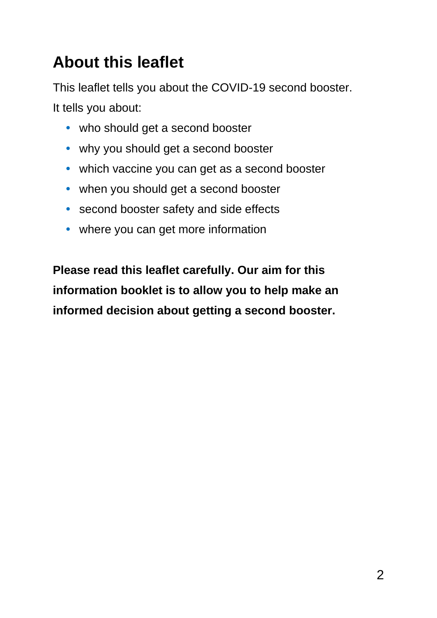#### **About this leaflet**

This leaflet tells you about the COVID-19 second booster. It tells you about:

- **•** who should get a second booster
- **•** why you should get a second booster
- **•** which vaccine you can get as a second booster
- **•** when you should get a second booster
- **•** second booster safety and side effects
- **•** where you can get more information

**Please read this leaflet carefully. Our aim for this information booklet is to allow you to help make an informed decision about getting a second booster.**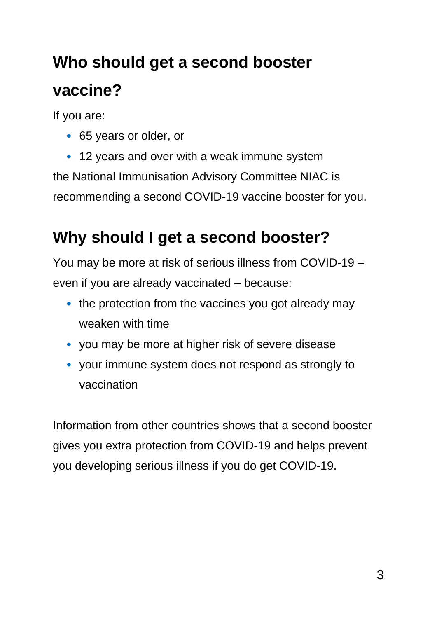# **Who should get a second booster vaccine?**

If you are:

• 65 years or older, or

• 12 years and over with a weak immune system the National Immunisation Advisory Committee NIAC is recommending a second COVID-19 vaccine booster for you.

#### **Why should I get a second booster?**

You may be more at risk of serious illness from COVID-19 – even if you are already vaccinated – because:

- the protection from the vaccines you got already may weaken with time
- you may be more at higher risk of severe disease
- your immune system does not respond as strongly to vaccination

Information from other countries shows that a second booster gives you extra protection from COVID-19 and helps prevent you developing serious illness if you do get COVID-19.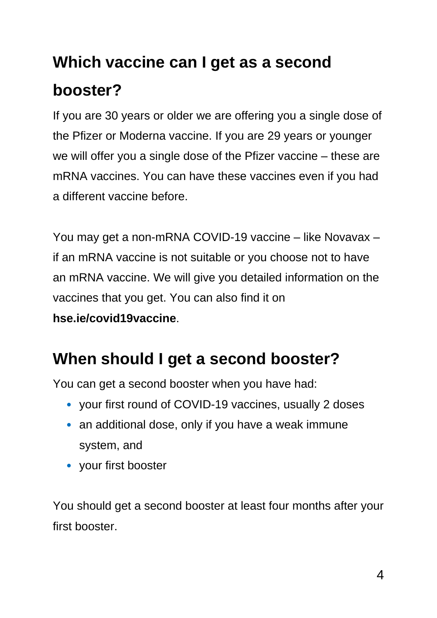# **Which vaccine can I get as a second booster?**

If you are 30 years or older we are offering you a single dose of the Pfizer or Moderna vaccine. If you are 29 years or younger we will offer you a single dose of the Pfizer vaccine – these are mRNA vaccines. You can have these vaccines even if you had a different vaccine before.

You may get a non-mRNA COVID-19 vaccine – like Novavax – if an mRNA vaccine is not suitable or you choose not to have an mRNA vaccine. We will give you detailed information on the vaccines that you get. You can also find it on **[hse.ie/covid19vaccine](https://www2.hse.ie/screening-and-vaccinations/covid-19-vaccine/)**.

#### **When should I get a second booster?**

You can get a second booster when you have had:

- your first round of COVID-19 vaccines, usually 2 doses
- an additional dose, only if you have a weak immune system, and
- your first booster

You should get a second booster at least four months after your first booster.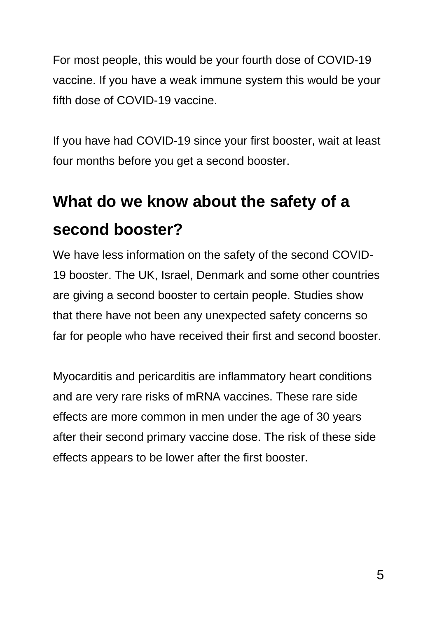For most people, this would be your fourth dose of COVID-19 vaccine. If you have a weak immune system this would be your fifth dose of COVID-19 vaccine.

If you have had COVID-19 since your first booster, wait at least four months before you get a second booster.

# **What do we know about the safety of a second booster?**

We have less information on the safety of the second COVID-19 booster. The UK, Israel, Denmark and some other countries are giving a second booster to certain people. Studies show that there have not been any unexpected safety concerns so far for people who have received their first and second booster.

Myocarditis and pericarditis are inflammatory heart conditions and are very rare risks of mRNA vaccines. These rare side effects are more common in men under the age of 30 years after their second primary vaccine dose. The risk of these side effects appears to be lower after the first booster.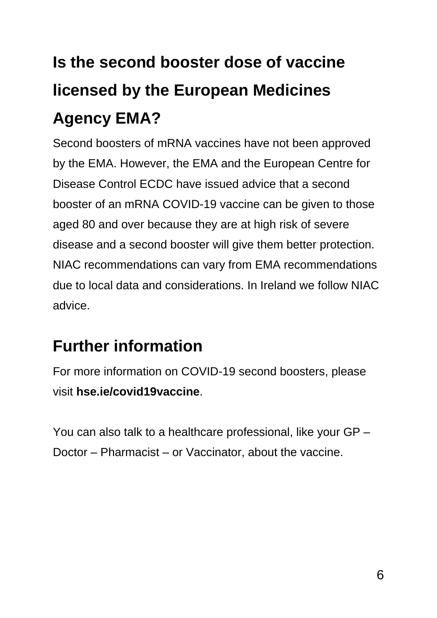# **Is the second booster dose of vaccine licensed by the European Medicines Agency EMA?**

Second boosters of mRNA vaccines have not been approved by the EMA. However, the EMA and the European Centre for Disease Control ECDC have issued advice that a second booster of an mRNA COVID-19 vaccine can be given to those aged 80 and over because they are at high risk of severe disease and a second booster will give them better protection. NIAC recommendations can vary from EMA recommendations due to local data and considerations. In Ireland we follow NIAC advice.

#### **Further information**

For more information on COVID-19 second boosters, please visit **[hse.ie/covid19vaccine](https://www2.hse.ie/screening-and-vaccinations/covid-19-vaccine/)**.

You can also talk to a healthcare professional, like your GP – Doctor – Pharmacist – or Vaccinator, about the vaccine.